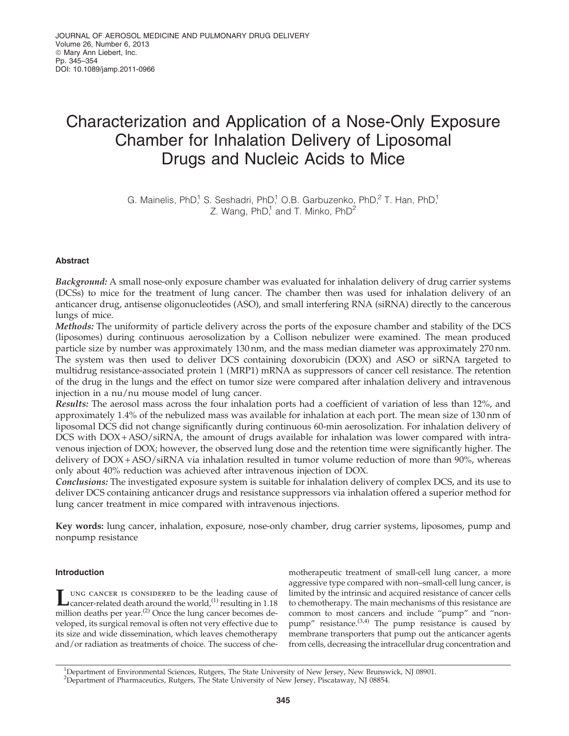# Characterization and Application of a Nose-Only Exposure Chamber for Inhalation Delivery of Liposomal Drugs and Nucleic Acids to Mice

G. Mainelis, PhD,<sup>1</sup> S. Seshadri, PhD,<sup>1</sup> O.B. Garbuzenko, PhD,<sup>2</sup> T. Han, PhD,<sup>1</sup> Z. Wang,  $PhD<sup>1</sup>$  and T. Minko,  $PhD<sup>2</sup>$ 

# Abstract

Background: A small nose-only exposure chamber was evaluated for inhalation delivery of drug carrier systems (DCSs) to mice for the treatment of lung cancer. The chamber then was used for inhalation delivery of an anticancer drug, antisense oligonucleotides (ASO), and small interfering RNA (siRNA) directly to the cancerous lungs of mice.

Methods: The uniformity of particle delivery across the ports of the exposure chamber and stability of the DCS (liposomes) during continuous aerosolization by a Collison nebulizer were examined. The mean produced particle size by number was approximately 130 nm, and the mass median diameter was approximately 270 nm. The system was then used to deliver DCS containing doxorubicin (DOX) and ASO or siRNA targeted to multidrug resistance-associated protein 1 (MRP1) mRNA as suppressors of cancer cell resistance. The retention of the drug in the lungs and the effect on tumor size were compared after inhalation delivery and intravenous injection in a nu/nu mouse model of lung cancer.

Results: The aerosol mass across the four inhalation ports had a coefficient of variation of less than 12%, and approximately 1.4% of the nebulized mass was available for inhalation at each port. The mean size of 130 nm of liposomal DCS did not change significantly during continuous 60-min aerosolization. For inhalation delivery of DCS with DOX + ASO/siRNA, the amount of drugs available for inhalation was lower compared with intravenous injection of DOX; however, the observed lung dose and the retention time were significantly higher. The delivery of DOX + ASO/siRNA via inhalation resulted in tumor volume reduction of more than 90%, whereas only about 40% reduction was achieved after intravenous injection of DOX.

Conclusions: The investigated exposure system is suitable for inhalation delivery of complex DCS, and its use to deliver DCS containing anticancer drugs and resistance suppressors via inhalation offered a superior method for lung cancer treatment in mice compared with intravenous injections.

Key words: lung cancer, inhalation, exposure, nose-only chamber, drug carrier systems, liposomes, pump and nonpump resistance

## Introduction

UNG CANCER IS CONSIDERED to be the leading cause of cancer-related death around the world,<sup>(1)</sup> resulting in 1.18 million deaths per year.<sup>(2)</sup> Once the lung cancer becomes deung cancer is considered to be the leading cause of Grancer-related death around the world,<sup>(1)</sup> resulting in 1.18 veloped, its surgical removal is often not very effective due to its size and wide dissemination, which leaves chemotherapy and/or radiation as treatments of choice. The success of chemotherapeutic treatment of small-cell lung cancer, a more aggressive type compared with non–small-cell lung cancer, is limited by the intrinsic and acquired resistance of cancer cells to chemotherapy. The main mechanisms of this resistance are common to most cancers and include ''pump'' and ''nonpump" resistance.<sup>(3,4)</sup> The pump resistance is caused by membrane transporters that pump out the anticancer agents from cells, decreasing the intracellular drug concentration and

<sup>1</sup>Department of Environmental Sciences, Rutgers, The State University of New Jersey, New Brunswick, NJ 08901. <sup>2</sup>Department of Pharmaceutics, Rutgers, The State University of New Jersey, Piscataway, NJ 08854.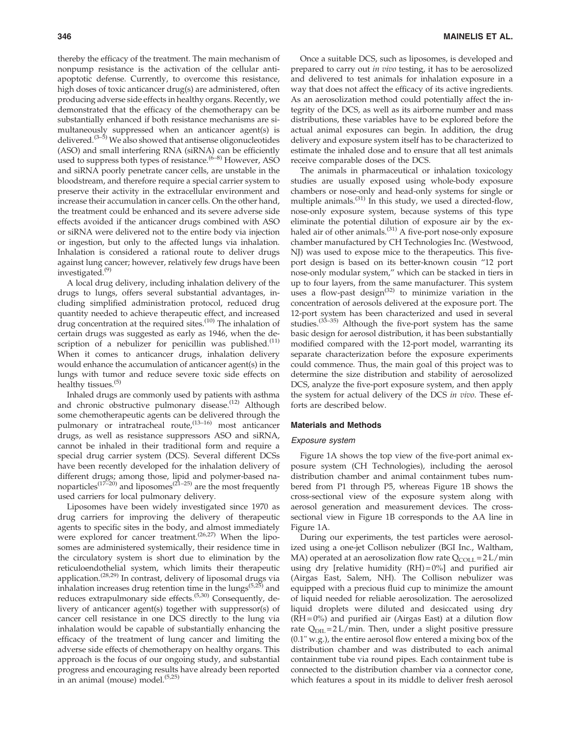thereby the efficacy of the treatment. The main mechanism of nonpump resistance is the activation of the cellular antiapoptotic defense. Currently, to overcome this resistance, high doses of toxic anticancer drug(s) are administered, often producing adverse side effects in healthy organs. Recently, we demonstrated that the efficacy of the chemotherapy can be substantially enhanced if both resistance mechanisms are simultaneously suppressed when an anticancer agent(s) is delivered.<sup>(3-5)</sup> We also showed that antisense oligonucleotides (ASO) and small interfering RNA (siRNA) can be efficiently used to suppress both types of resistance.  $(6-8)$  However, ASO and siRNA poorly penetrate cancer cells, are unstable in the bloodstream, and therefore require a special carrier system to preserve their activity in the extracellular environment and increase their accumulation in cancer cells. On the other hand, the treatment could be enhanced and its severe adverse side effects avoided if the anticancer drugs combined with ASO or siRNA were delivered not to the entire body via injection or ingestion, but only to the affected lungs via inhalation. Inhalation is considered a rational route to deliver drugs against lung cancer; however, relatively few drugs have been investigated.(9)

A local drug delivery, including inhalation delivery of the drugs to lungs, offers several substantial advantages, including simplified administration protocol, reduced drug quantity needed to achieve therapeutic effect, and increased drug concentration at the required sites.<sup>(10)</sup> The inhalation of certain drugs was suggested as early as 1946, when the description of a nebulizer for penicillin was published. $(11)$ When it comes to anticancer drugs, inhalation delivery would enhance the accumulation of anticancer agent(s) in the lungs with tumor and reduce severe toxic side effects on healthy tissues.<sup>(5)</sup>

Inhaled drugs are commonly used by patients with asthma and chronic obstructive pulmonary disease. $(12)$  Although some chemotherapeutic agents can be delivered through the pulmonary or intratracheal route,<sup>(13-16)</sup> most anticancer drugs, as well as resistance suppressors ASO and siRNA, cannot be inhaled in their traditional form and require a special drug carrier system (DCS). Several different DCSs have been recently developed for the inhalation delivery of different drugs; among those, lipid and polymer-based namorticles<sup> $(17–20)$ </sup> and liposomes<sup> $(21–25)$ </sup> are the most frequently used carriers for local pulmonary delivery.

Liposomes have been widely investigated since 1970 as drug carriers for improving the delivery of therapeutic agents to specific sites in the body, and almost immediately were explored for cancer treatment.<sup> $(26,27)$ </sup> When the liposomes are administered systemically, their residence time in the circulatory system is short due to elimination by the reticuloendothelial system, which limits their therapeutic application.(28,29) In contrast, delivery of liposomal drugs via inhalation increases drug retention time in the lungs $(5,25)$  and reduces extrapulmonary side effects.<sup>(5,30)</sup> Consequently, delivery of anticancer agent(s) together with suppressor(s) of cancer cell resistance in one DCS directly to the lung via inhalation would be capable of substantially enhancing the efficacy of the treatment of lung cancer and limiting the adverse side effects of chemotherapy on healthy organs. This approach is the focus of our ongoing study, and substantial progress and encouraging results have already been reported in an animal (mouse) model.<sup>(5,25)</sup>

Once a suitable DCS, such as liposomes, is developed and prepared to carry out *in vivo* testing, it has to be aerosolized and delivered to test animals for inhalation exposure in a way that does not affect the efficacy of its active ingredients. As an aerosolization method could potentially affect the integrity of the DCS, as well as its airborne number and mass distributions, these variables have to be explored before the actual animal exposures can begin. In addition, the drug delivery and exposure system itself has to be characterized to estimate the inhaled dose and to ensure that all test animals receive comparable doses of the DCS.

The animals in pharmaceutical or inhalation toxicology studies are usually exposed using whole-body exposure chambers or nose-only and head-only systems for single or multiple animals.(31) In this study, we used a directed-flow, nose-only exposure system, because systems of this type eliminate the potential dilution of exposure air by the exhaled air of other animals.<sup>(31)</sup> A five-port nose-only exposure chamber manufactured by CH Technologies Inc. (Westwood, NJ) was used to expose mice to the therapeutics. This fiveport design is based on its better-known cousin ''12 port nose-only modular system,'' which can be stacked in tiers in up to four layers, from the same manufacturer. This system uses a flow-past design $^{(32)}$  to minimize variation in the concentration of aerosols delivered at the exposure port. The 12-port system has been characterized and used in several studies.(33–35) Although the five-port system has the same basic design for aerosol distribution, it has been substantially modified compared with the 12-port model, warranting its separate characterization before the exposure experiments could commence. Thus, the main goal of this project was to determine the size distribution and stability of aerosolized DCS, analyze the five-port exposure system, and then apply the system for actual delivery of the DCS *in vivo*. These efforts are described below.

## Materials and Methods

#### Exposure system

Figure 1A shows the top view of the five-port animal exposure system (CH Technologies), including the aerosol distribution chamber and animal containment tubes numbered from P1 through P5, whereas Figure 1B shows the cross-sectional view of the exposure system along with aerosol generation and measurement devices. The crosssectional view in Figure 1B corresponds to the AA line in Figure 1A.

During our experiments, the test particles were aerosolized using a one-jet Collison nebulizer (BGI Inc., Waltham, MA) operated at an aerosolization flow rate  $Q_{COLL} = 2 L/min$ using dry [relative humidity  $(RH) = 0\%$ ] and purified air (Airgas East, Salem, NH). The Collison nebulizer was equipped with a precious fluid cup to minimize the amount of liquid needed for reliable aerosolization. The aerosolized liquid droplets were diluted and desiccated using dry  $(RH = 0\%)$  and purified air (Airgas East) at a dilution flow rate  $Q_{\text{DIL}} = 2 L/min$ . Then, under a slight positive pressure (0.1" w.g.), the entire aerosol flow entered a mixing box of the distribution chamber and was distributed to each animal containment tube via round pipes. Each containment tube is connected to the distribution chamber via a connector cone, which features a spout in its middle to deliver fresh aerosol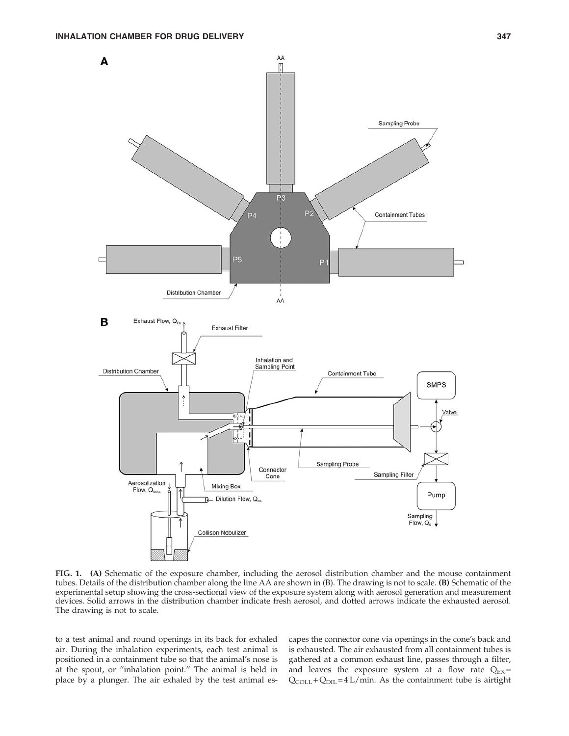

FIG. 1. (A) Schematic of the exposure chamber, including the aerosol distribution chamber and the mouse containment tubes. Details of the distribution chamber along the line AA are shown in (B). The drawing is not to scale. (B) Schematic of the experimental setup showing the cross-sectional view of the exposure system along with aerosol generation and measurement devices. Solid arrows in the distribution chamber indicate fresh aerosol, and dotted arrows indicate the exhausted aerosol. The drawing is not to scale.

to a test animal and round openings in its back for exhaled air. During the inhalation experiments, each test animal is positioned in a containment tube so that the animal's nose is at the spout, or ''inhalation point.'' The animal is held in place by a plunger. The air exhaled by the test animal escapes the connector cone via openings in the cone's back and is exhausted. The air exhausted from all containment tubes is gathered at a common exhaust line, passes through a filter, and leaves the exposure system at a flow rate  $Q_{EX}$  =  $Q_{COLL}$  +  $Q_{DIL}$  = 4 L/min. As the containment tube is airtight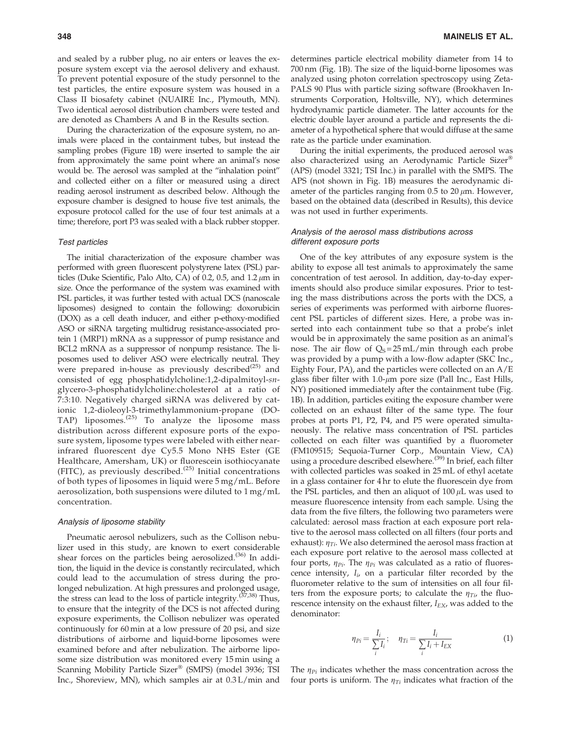and sealed by a rubber plug, no air enters or leaves the exposure system except via the aerosol delivery and exhaust. To prevent potential exposure of the study personnel to the test particles, the entire exposure system was housed in a Class II biosafety cabinet (NUAIRE Inc., Plymouth, MN). Two identical aerosol distribution chambers were tested and are denoted as Chambers A and B in the Results section.

During the characterization of the exposure system, no animals were placed in the containment tubes, but instead the sampling probes (Figure 1B) were inserted to sample the air from approximately the same point where an animal's nose would be. The aerosol was sampled at the ''inhalation point'' and collected either on a filter or measured using a direct reading aerosol instrument as described below. Although the exposure chamber is designed to house five test animals, the exposure protocol called for the use of four test animals at a time; therefore, port P3 was sealed with a black rubber stopper.

#### Test particles

The initial characterization of the exposure chamber was performed with green fluorescent polystyrene latex (PSL) particles (Duke Scientific, Palo Alto, CA) of 0.2, 0.5, and  $1.2 \mu m$  in size. Once the performance of the system was examined with PSL particles, it was further tested with actual DCS (nanoscale liposomes) designed to contain the following: doxorubicin (DOX) as a cell death inducer, and either p-ethoxy-modified ASO or siRNA targeting multidrug resistance-associated protein 1 (MRP1) mRNA as a suppressor of pump resistance and BCL2 mRNA as a suppressor of nonpump resistance. The liposomes used to deliver ASO were electrically neutral. They were prepared in-house as previously described $(25)$  and consisted of egg phosphatidylcholine:1,2-dipalmitoyl-*sn*glycero-3-phosphatidylcholine:cholesterol at a ratio of 7:3:10. Negatively charged siRNA was delivered by cationic 1,2-dioleoyl-3-trimethylammonium-propane (DO-TAP) liposomes. $(25)$  To analyze the liposome mass distribution across different exposure ports of the exposure system, liposome types were labeled with either nearinfrared fluorescent dye Cy5.5 Mono NHS Ester (GE Healthcare, Amersham, UK) or fluorescein isothiocyanate (FITC), as previously described.<sup> $(25)$ </sup> Initial concentrations of both types of liposomes in liquid were 5 mg/mL. Before aerosolization, both suspensions were diluted to 1 mg/mL concentration.

#### Analysis of liposome stability

Pneumatic aerosol nebulizers, such as the Collison nebulizer used in this study, are known to exert considerable shear forces on the particles being aerosolized.<sup>(36)</sup> In addition, the liquid in the device is constantly recirculated, which could lead to the accumulation of stress during the prolonged nebulization. At high pressures and prolonged usage, the stress can lead to the loss of particle integrity.<sup>(37,38)</sup> Thus, to ensure that the integrity of the DCS is not affected during exposure experiments, the Collison nebulizer was operated continuously for 60 min at a low pressure of 20 psi, and size distributions of airborne and liquid-borne liposomes were examined before and after nebulization. The airborne liposome size distribution was monitored every 15 min using a Scanning Mobility Particle Sizer® (SMPS) (model 3936; TSI Inc., Shoreview, MN), which samples air at 0.3 L/min and determines particle electrical mobility diameter from 14 to 700 nm (Fig. 1B). The size of the liquid-borne liposomes was analyzed using photon correlation spectroscopy using Zeta-PALS 90 Plus with particle sizing software (Brookhaven Instruments Corporation, Holtsville, NY), which determines hydrodynamic particle diameter. The latter accounts for the electric double layer around a particle and represents the diameter of a hypothetical sphere that would diffuse at the same rate as the particle under examination.

During the initial experiments, the produced aerosol was also characterized using an Aerodynamic Particle Sizer® (APS) (model 3321; TSI Inc.) in parallel with the SMPS. The APS (not shown in Fig. 1B) measures the aerodynamic diameter of the particles ranging from  $0.5$  to  $20 \mu m$ . However, based on the obtained data (described in Results), this device was not used in further experiments.

### Analysis of the aerosol mass distributions across different exposure ports

One of the key attributes of any exposure system is the ability to expose all test animals to approximately the same concentration of test aerosol. In addition, day-to-day experiments should also produce similar exposures. Prior to testing the mass distributions across the ports with the DCS, a series of experiments was performed with airborne fluorescent PSL particles of different sizes. Here, a probe was inserted into each containment tube so that a probe's inlet would be in approximately the same position as an animal's nose. The air flow of  $Q_s = 25$  mL/min through each probe was provided by a pump with a low-flow adapter (SKC Inc., Eighty Four, PA), and the particles were collected on an A/E glass fiber filter with  $1.0$ - $\mu$ m pore size (Pall Inc., East Hills, NY) positioned immediately after the containment tube (Fig. 1B). In addition, particles exiting the exposure chamber were collected on an exhaust filter of the same type. The four probes at ports P1, P2, P4, and P5 were operated simultaneously. The relative mass concentration of PSL particles collected on each filter was quantified by a fluorometer (FM109515; Sequoia-Turner Corp., Mountain View, CA) using a procedure described elsewhere.<sup>(39)</sup> In brief, each filter with collected particles was soaked in 25 mL of ethyl acetate in a glass container for 4 hr to elute the fluorescein dye from the PSL particles, and then an aliquot of  $100 \mu$ L was used to measure fluorescence intensity from each sample. Using the data from the five filters, the following two parameters were calculated: aerosol mass fraction at each exposure port relative to the aerosol mass collected on all filters (four ports and exhaust):  $\eta_{Ti}$ . We also determined the aerosol mass fraction at each exposure port relative to the aerosol mass collected at four ports,  $\eta_{Pi}$ . The  $\eta_{Pi}$  was calculated as a ratio of fluorescence intensity, *I<sup>i</sup>* , on a particular filter recorded by the fluorometer relative to the sum of intensities on all four filters from the exposure ports; to calculate the  $\eta_{Ti}$ , the fluorescence intensity on the exhaust filter, *I<sub>EX</sub>*, was added to the denominator:

$$
\eta_{Pi} = \frac{I_i}{\sum_i I_i}; \quad \eta_{Ti} = \frac{I_i}{\sum_i I_i + I_{EX}} \tag{1}
$$

The  $\eta_{Pi}$  indicates whether the mass concentration across the four ports is uniform. The  $\eta_{Ti}$  indicates what fraction of the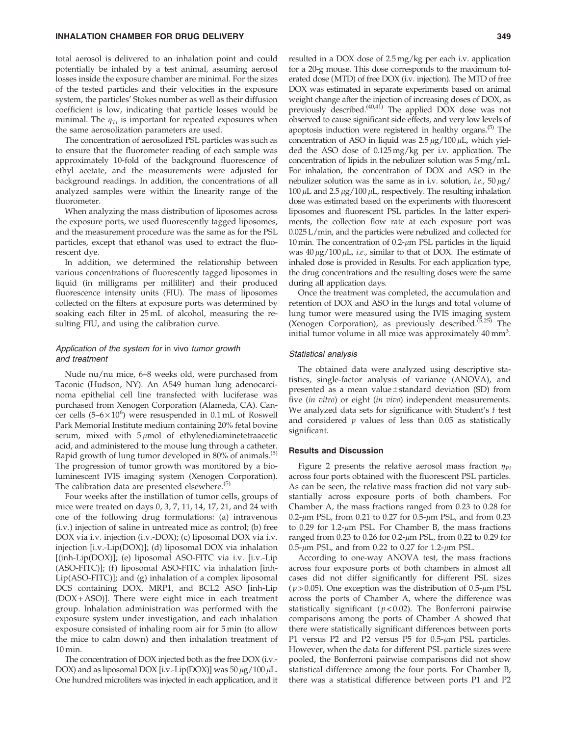total aerosol is delivered to an inhalation point and could potentially be inhaled by a test animal, assuming aerosol losses inside the exposure chamber are minimal. For the sizes of the tested particles and their velocities in the exposure system, the particles' Stokes number as well as their diffusion coefficient is low, indicating that particle losses would be minimal. The  $\eta_{Ti}$  is important for repeated exposures when the same aerosolization parameters are used.

The concentration of aerosolized PSL particles was such as to ensure that the fluorometer reading of each sample was approximately 10-fold of the background fluorescence of ethyl acetate, and the measurements were adjusted for background readings. In addition, the concentrations of all analyzed samples were within the linearity range of the fluorometer.

When analyzing the mass distribution of liposomes across the exposure ports, we used fluorescently tagged liposomes, and the measurement procedure was the same as for the PSL particles, except that ethanol was used to extract the fluorescent dye.

In addition, we determined the relationship between various concentrations of fluorescently tagged liposomes in liquid (in milligrams per milliliter) and their produced fluorescence intensity units (FIU). The mass of liposomes collected on the filters at exposure ports was determined by soaking each filter in 25 mL of alcohol, measuring the resulting FIU, and using the calibration curve.

## Application of the system for in vivo tumor growth and treatment

Nude nu/nu mice, 6–8 weeks old, were purchased from Taconic (Hudson, NY). An A549 human lung adenocarcinoma epithelial cell line transfected with luciferase was purchased from Xenogen Corporation (Alameda, CA). Cancer cells  $(5-6\times10^{6})$  were resuspended in 0.1 mL of Roswell Park Memorial Institute medium containing 20% fetal bovine serum, mixed with  $5 \mu$ mol of ethylenediaminetetraacetic acid, and administered to the mouse lung through a catheter. Rapid growth of lung tumor developed in 80% of animals.<sup>(5)</sup> The progression of tumor growth was monitored by a bioluminescent IVIS imaging system (Xenogen Corporation). The calibration data are presented elsewhere.<sup>(5)</sup>

Four weeks after the instillation of tumor cells, groups of mice were treated on days 0, 3, 7, 11, 14, 17, 21, and 24 with one of the following drug formulations: (a) intravenous (i.v.) injection of saline in untreated mice as control; (b) free DOX via i.v. injection (i.v.-DOX); (c) liposomal DOX via i.v. injection [i.v.-Lip(DOX)]; (d) liposomal DOX via inhalation [(inh-Lip(DOX)]; (e) liposomal ASO-FITC via i.v. [i.v.-Lip (ASO-FITC)]; (f) liposomal ASO-FITC via inhalation [inh-Lip(ASO-FITC)]; and (g) inhalation of a complex liposomal DCS containing DOX, MRP1, and BCL2 ASO [inh-Lip  $(DOX + ASO)$ ]. There were eight mice in each treatment group. Inhalation administration was performed with the exposure system under investigation, and each inhalation exposure consisted of inhaling room air for 5 min (to allow the mice to calm down) and then inhalation treatment of 10 min.

The concentration of DOX injected both as the free DOX (i.v.- DOX) and as liposomal DOX [i.v.-Lip(DOX)] was  $50 \mu g/100 \mu L$ . One hundred microliters was injected in each application, and it resulted in a DOX dose of 2.5mg/kg per each i.v. application for a 20-g mouse. This dose corresponds to the maximum tolerated dose (MTD) of free DOX (i.v. injection). The MTD of free DOX was estimated in separate experiments based on animal weight change after the injection of increasing doses of DOX, as previously described.<sup>(40,41)</sup> The applied DOX dose was not observed to cause significant side effects, and very low levels of apoptosis induction were registered in healthy organs.(5) The concentration of ASO in liquid was  $2.5 \mu g/100 \mu L$ , which yielded the ASO dose of 0.125mg/kg per i.v. application. The concentration of lipids in the nebulizer solution was 5mg/mL. For inhalation, the concentration of DOX and ASO in the nebulizer solution was the same as in i.v. solution, *i.e.*,  $50 \mu g$ / 100  $\mu$ L and 2.5  $\mu$ g/100  $\mu$ L, respectively. The resulting inhalation dose was estimated based on the experiments with fluorescent liposomes and fluorescent PSL particles. In the latter experiments, the collection flow rate at each exposure port was 0.025 L/min, and the particles were nebulized and collected for 10 min. The concentration of  $0.2$ - $\mu$ m PSL particles in the liquid was  $40 \mu g / 100 \mu L$ , *i.e.*, similar to that of DOX. The estimate of inhaled dose is provided in Results. For each application type, the drug concentrations and the resulting doses were the same during all application days.

Once the treatment was completed, the accumulation and retention of DOX and ASO in the lungs and total volume of lung tumor were measured using the IVIS imaging system (Xenogen Corporation), as previously described.<sup> $(5,25)$ </sup> The initial tumor volume in all mice was approximately 40 mm<sup>3</sup>.

## Statistical analysis

The obtained data were analyzed using descriptive statistics, single-factor analysis of variance (ANOVA), and presented as a mean value $\pm$ standard deviation (SD) from five (*in vitro*) or eight (*in vivo*) independent measurements. We analyzed data sets for significance with Student's *t* test and considered *p* values of less than 0.05 as statistically significant.

#### Results and Discussion

Figure 2 presents the relative aerosol mass fraction  $\eta_{pi}$ across four ports obtained with the fluorescent PSL particles. As can be seen, the relative mass fraction did not vary substantially across exposure ports of both chambers. For Chamber A, the mass fractions ranged from 0.23 to 0.28 for 0.2- $\mu$ m PSL, from 0.21 to 0.27 for 0.5- $\mu$ m PSL, and from 0.23 to 0.29 for 1.2- $\mu$ m PSL. For Chamber B, the mass fractions ranged from 0.23 to 0.26 for 0.2- $\mu$ m PSL, from 0.22 to 0.29 for 0.5- $\mu$ m PSL, and from 0.22 to 0.27 for 1.2- $\mu$ m PSL.

According to one-way ANOVA test, the mass fractions across four exposure ports of both chambers in almost all cases did not differ significantly for different PSL sizes ( $p$  > 0.05). One exception was the distribution of 0.5- $\mu$ m PSL across the ports of Chamber A, where the difference was statistically significant ( $p < 0.02$ ). The Bonferroni pairwise comparisons among the ports of Chamber A showed that there were statistically significant differences between ports P1 versus P2 and P2 versus P5 for  $0.5$ - $\mu$ m PSL particles. However, when the data for different PSL particle sizes were pooled, the Bonferroni pairwise comparisons did not show statistical difference among the four ports. For Chamber B, there was a statistical difference between ports P1 and P2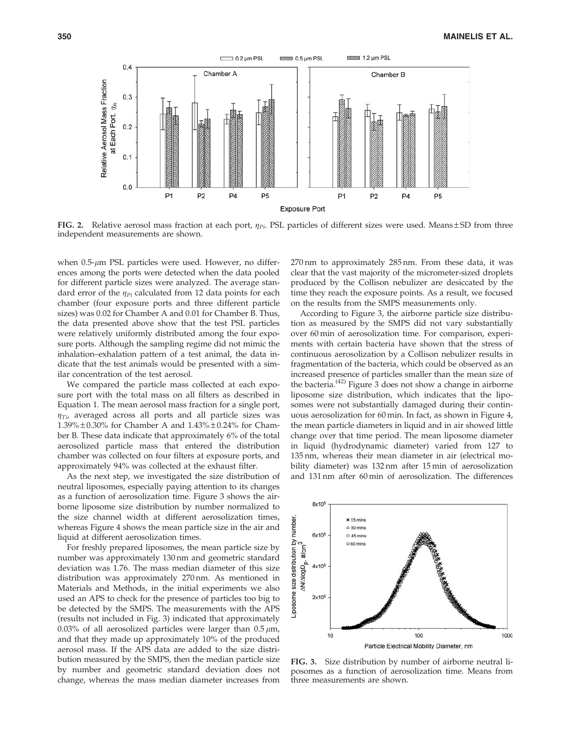

FIG. 2. Relative aerosol mass fraction at each port,  $\eta_{pi}$ . PSL particles of different sizes were used. Means  $\pm$  SD from three independent measurements are shown.

when  $0.5$ - $\mu$ m PSL particles were used. However, no differences among the ports were detected when the data pooled for different particle sizes were analyzed. The average standard error of the  $\eta_{pi}$  calculated from 12 data points for each chamber (four exposure ports and three different particle sizes) was 0.02 for Chamber A and 0.01 for Chamber B. Thus, the data presented above show that the test PSL particles were relatively uniformly distributed among the four exposure ports. Although the sampling regime did not mimic the inhalation–exhalation pattern of a test animal, the data indicate that the test animals would be presented with a similar concentration of the test aerosol.

We compared the particle mass collected at each exposure port with the total mass on all filters as described in Equation 1. The mean aerosol mass fraction for a single port,  $\eta_{Ti}$ , averaged across all ports and all particle sizes was 1.39%  $\pm$  0.30% for Chamber A and 1.43%  $\pm$  0.24% for Chamber B. These data indicate that approximately 6% of the total aerosolized particle mass that entered the distribution chamber was collected on four filters at exposure ports, and approximately 94% was collected at the exhaust filter.

As the next step, we investigated the size distribution of neutral liposomes, especially paying attention to its changes as a function of aerosolization time. Figure 3 shows the airborne liposome size distribution by number normalized to the size channel width at different aerosolization times, whereas Figure 4 shows the mean particle size in the air and liquid at different aerosolization times.

For freshly prepared liposomes, the mean particle size by number was approximately 130 nm and geometric standard deviation was 1.76. The mass median diameter of this size distribution was approximately 270 nm. As mentioned in Materials and Methods, in the initial experiments we also used an APS to check for the presence of particles too big to be detected by the SMPS. The measurements with the APS (results not included in Fig. 3) indicated that approximately 0.03% of all aerosolized particles were larger than  $0.5 \mu m$ , and that they made up approximately 10% of the produced aerosol mass. If the APS data are added to the size distribution measured by the SMPS, then the median particle size by number and geometric standard deviation does not change, whereas the mass median diameter increases from 270 nm to approximately 285 nm. From these data, it was clear that the vast majority of the micrometer-sized droplets produced by the Collison nebulizer are desiccated by the time they reach the exposure points. As a result, we focused on the results from the SMPS measurements only.

According to Figure 3, the airborne particle size distribution as measured by the SMPS did not vary substantially over 60 min of aerosolization time. For comparison, experiments with certain bacteria have shown that the stress of continuous aerosolization by a Collison nebulizer results in fragmentation of the bacteria, which could be observed as an increased presence of particles smaller than the mean size of the bacteria.<sup> $(42)$ </sup> Figure 3 does not show a change in airborne liposome size distribution, which indicates that the liposomes were not substantially damaged during their continuous aerosolization for 60 min. In fact, as shown in Figure 4, the mean particle diameters in liquid and in air showed little change over that time period. The mean liposome diameter in liquid (hydrodynamic diameter) varied from 127 to 135 nm, whereas their mean diameter in air (electrical mobility diameter) was 132 nm after 15 min of aerosolization and 131 nm after 60 min of aerosolization. The differences



FIG. 3. Size distribution by number of airborne neutral liposomes as a function of aerosolization time. Means from three measurements are shown.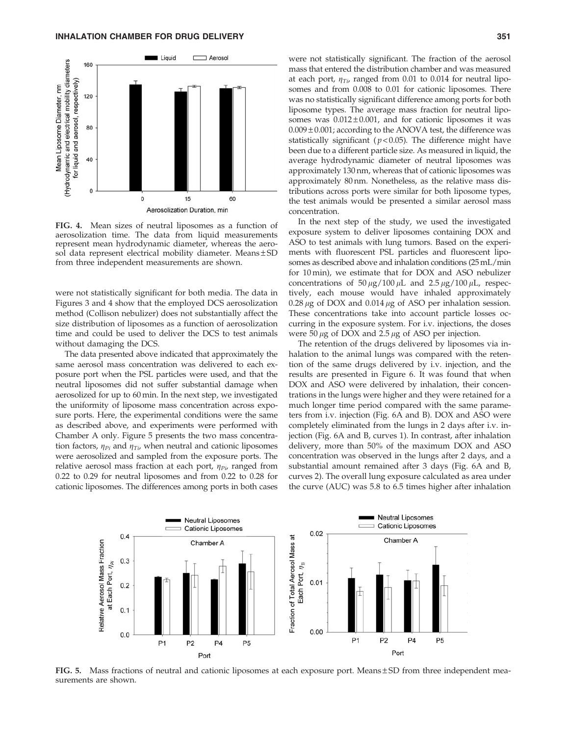

FIG. 4. Mean sizes of neutral liposomes as a function of aerosolization time. The data from liquid measurements represent mean hydrodynamic diameter, whereas the aerosol data represent electrical mobility diameter. Means $\pm$ SD from three independent measurements are shown.

were not statistically significant for both media. The data in Figures 3 and 4 show that the employed DCS aerosolization method (Collison nebulizer) does not substantially affect the size distribution of liposomes as a function of aerosolization time and could be used to deliver the DCS to test animals without damaging the DCS.

The data presented above indicated that approximately the same aerosol mass concentration was delivered to each exposure port when the PSL particles were used, and that the neutral liposomes did not suffer substantial damage when aerosolized for up to 60 min. In the next step, we investigated the uniformity of liposome mass concentration across exposure ports. Here, the experimental conditions were the same as described above, and experiments were performed with Chamber A only. Figure 5 presents the two mass concentration factors,  $\eta_{Pi}$  and  $\eta_{Ti}$ , when neutral and cationic liposomes were aerosolized and sampled from the exposure ports. The relative aerosol mass fraction at each port,  $\eta_{Pi}$ , ranged from 0.22 to 0.29 for neutral liposomes and from 0.22 to 0.28 for cationic liposomes. The differences among ports in both cases

were not statistically significant. The fraction of the aerosol mass that entered the distribution chamber and was measured at each port,  $\eta_{Ti}$ , ranged from 0.01 to 0.014 for neutral liposomes and from 0.008 to 0.01 for cationic liposomes. There was no statistically significant difference among ports for both liposome types. The average mass fraction for neutral liposomes was  $0.012 \pm 0.001$ , and for cationic liposomes it was  $0.009 \pm 0.001$ ; according to the ANOVA test, the difference was statistically significant  $(p<0.05)$ . The difference might have been due to a different particle size. As measured in liquid, the average hydrodynamic diameter of neutral liposomes was approximately 130 nm, whereas that of cationic liposomes was approximately 80 nm. Nonetheless, as the relative mass distributions across ports were similar for both liposome types, the test animals would be presented a similar aerosol mass concentration.

In the next step of the study, we used the investigated exposure system to deliver liposomes containing DOX and ASO to test animals with lung tumors. Based on the experiments with fluorescent PSL particles and fluorescent liposomes as described above and inhalation conditions (25mL/min for 10 min), we estimate that for DOX and ASO nebulizer concentrations of  $50 \mu g / 100 \mu L$  and  $2.5 \mu g / 100 \mu L$ , respectively, each mouse would have inhaled approximately  $0.28 \mu$ g of DOX and  $0.014 \mu$ g of ASO per inhalation session. These concentrations take into account particle losses occurring in the exposure system. For i.v. injections, the doses were 50  $\mu$ g of DOX and 2.5  $\mu$ g of ASO per injection.

The retention of the drugs delivered by liposomes via inhalation to the animal lungs was compared with the retention of the same drugs delivered by i.v. injection, and the results are presented in Figure 6. It was found that when DOX and ASO were delivered by inhalation, their concentrations in the lungs were higher and they were retained for a much longer time period compared with the same parameters from i.v. injection (Fig. 6A and B). DOX and ASO were completely eliminated from the lungs in 2 days after i.v. injection (Fig. 6A and B, curves 1). In contrast, after inhalation delivery, more than 50% of the maximum DOX and ASO concentration was observed in the lungs after 2 days, and a substantial amount remained after 3 days (Fig. 6A and B, curves 2). The overall lung exposure calculated as area under the curve (AUC) was 5.8 to 6.5 times higher after inhalation



FIG. 5. Mass fractions of neutral and cationic liposomes at each exposure port. Means $\pm$ SD from three independent measurements are shown.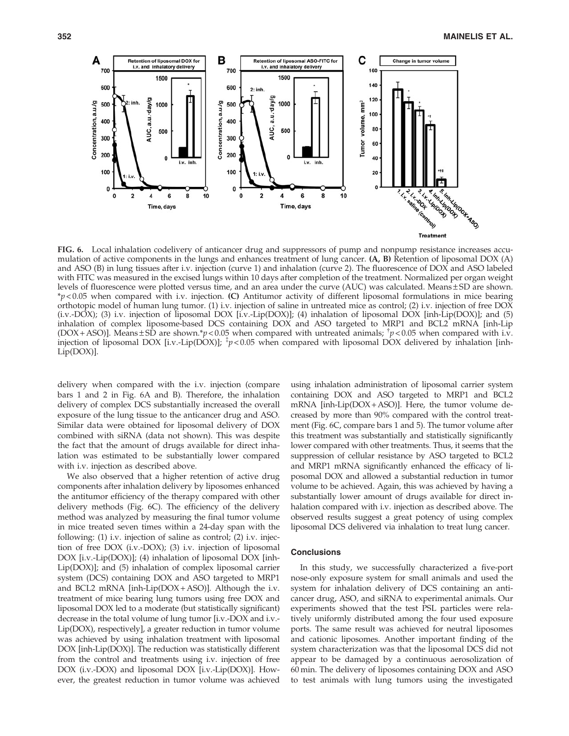

FIG. 6. Local inhalation codelivery of anticancer drug and suppressors of pump and nonpump resistance increases accumulation of active components in the lungs and enhances treatment of lung cancer. (A, B) Retention of liposomal DOX (A) and ASO (B) in lung tissues after i.v. injection (curve 1) and inhalation (curve 2). The fluorescence of DOX and ASO labeled with FITC was measured in the excised lungs within 10 days after completion of the treatment. Normalized per organ weight levels of fluorescence were plotted versus time, and an area under the curve (AUC) was calculated. Means  $\pm$  SD are shown. \**p* < 0.05 when compared with i.v. injection. (C) Antitumor activity of different liposomal formulations in mice bearing orthotopic model of human lung tumor. (1) i.v. injection of saline in untreated mice as control; (2) i.v. injection of free DOX (i.v.-DOX); (3) i.v. injection of liposomal DOX [i.v.-Lip(DOX)]; (4) inhalation of liposomal DOX [inh-Lip(DOX)]; and (5) inhalation of complex liposome-based DCS containing DOX and ASO targeted to MRP1 and BCL2 mRNA [inh-Lip (DOX + ASO)]. Means  $\pm$  SD are shown.\*p<0.05 when compared with untreated animals;  $\frac{1}{T}p$ <0.05 when compared with i.v. injection of liposomal DOX [i.v.-Lip(DOX)]; <sup>‡</sup>p<0.05 when compared with liposomal DOX delivered by inhalation [inh-Lip(DOX)].

delivery when compared with the i.v. injection (compare bars 1 and 2 in Fig. 6A and B). Therefore, the inhalation delivery of complex DCS substantially increased the overall exposure of the lung tissue to the anticancer drug and ASO. Similar data were obtained for liposomal delivery of DOX combined with siRNA (data not shown). This was despite the fact that the amount of drugs available for direct inhalation was estimated to be substantially lower compared with i.v. injection as described above.

We also observed that a higher retention of active drug components after inhalation delivery by liposomes enhanced the antitumor efficiency of the therapy compared with other delivery methods (Fig. 6C). The efficiency of the delivery method was analyzed by measuring the final tumor volume in mice treated seven times within a 24-day span with the following: (1) i.v. injection of saline as control; (2) i.v. injection of free DOX (i.v.-DOX); (3) i.v. injection of liposomal DOX [i.v.-Lip(DOX)]; (4) inhalation of liposomal DOX [inh-Lip(DOX)]; and (5) inhalation of complex liposomal carrier system (DCS) containing DOX and ASO targeted to MRP1 and BCL2 mRNA [inh-Lip( $DOX + ASO$ ]. Although the i.v. treatment of mice bearing lung tumors using free DOX and liposomal DOX led to a moderate (but statistically significant) decrease in the total volume of lung tumor [i.v.-DOX and i.v.- Lip(DOX), respectively], a greater reduction in tumor volume was achieved by using inhalation treatment with liposomal DOX [inh-Lip(DOX)]. The reduction was statistically different from the control and treatments using i.v. injection of free DOX (i.v.-DOX) and liposomal DOX [i.v.-Lip(DOX)]. However, the greatest reduction in tumor volume was achieved using inhalation administration of liposomal carrier system containing DOX and ASO targeted to MRP1 and BCL2 mRNA [inh-Lip(DOX+ ASO)]. Here, the tumor volume decreased by more than 90% compared with the control treatment (Fig. 6C, compare bars 1 and 5). The tumor volume after this treatment was substantially and statistically significantly lower compared with other treatments. Thus, it seems that the suppression of cellular resistance by ASO targeted to BCL2 and MRP1 mRNA significantly enhanced the efficacy of liposomal DOX and allowed a substantial reduction in tumor volume to be achieved. Again, this was achieved by having a substantially lower amount of drugs available for direct inhalation compared with i.v. injection as described above. The observed results suggest a great potency of using complex liposomal DCS delivered via inhalation to treat lung cancer.

## **Conclusions**

In this study, we successfully characterized a five-port nose-only exposure system for small animals and used the system for inhalation delivery of DCS containing an anticancer drug, ASO, and siRNA to experimental animals. Our experiments showed that the test PSL particles were relatively uniformly distributed among the four used exposure ports. The same result was achieved for neutral liposomes and cationic liposomes. Another important finding of the system characterization was that the liposomal DCS did not appear to be damaged by a continuous aerosolization of 60 min. The delivery of liposomes containing DOX and ASO to test animals with lung tumors using the investigated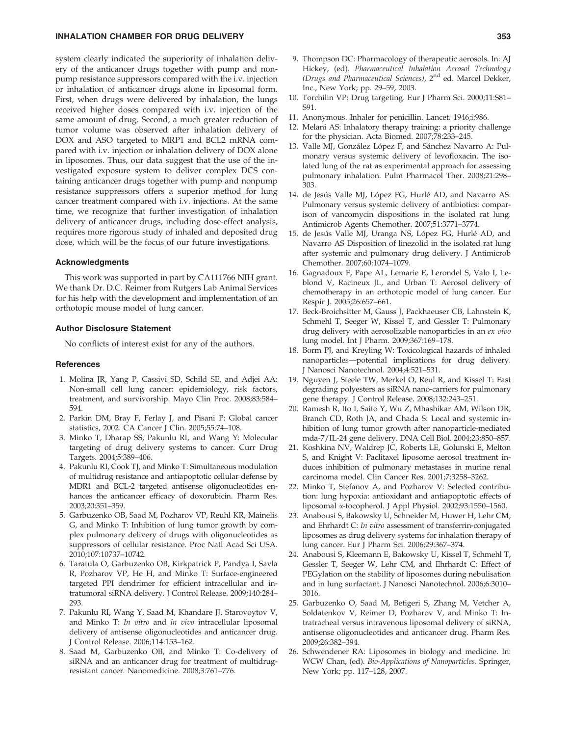## INHALATION CHAMBER FOR DRUG DELIVERY 353

system clearly indicated the superiority of inhalation delivery of the anticancer drugs together with pump and nonpump resistance suppressors compared with the i.v. injection or inhalation of anticancer drugs alone in liposomal form. First, when drugs were delivered by inhalation, the lungs received higher doses compared with i.v. injection of the same amount of drug. Second, a much greater reduction of tumor volume was observed after inhalation delivery of DOX and ASO targeted to MRP1 and BCL2 mRNA compared with i.v. injection or inhalation delivery of DOX alone in liposomes. Thus, our data suggest that the use of the investigated exposure system to deliver complex DCS containing anticancer drugs together with pump and nonpump resistance suppressors offers a superior method for lung cancer treatment compared with i.v. injections. At the same time, we recognize that further investigation of inhalation delivery of anticancer drugs, including dose-effect analysis, requires more rigorous study of inhaled and deposited drug dose, which will be the focus of our future investigations.

## Acknowledgments

This work was supported in part by CA111766 NIH grant. We thank Dr. D.C. Reimer from Rutgers Lab Animal Services for his help with the development and implementation of an orthotopic mouse model of lung cancer.

#### Author Disclosure Statement

No conflicts of interest exist for any of the authors.

#### **References**

- 1. Molina JR, Yang P, Cassivi SD, Schild SE, and Adjei AA: Non-small cell lung cancer: epidemiology, risk factors, treatment, and survivorship. Mayo Clin Proc. 2008;83:584– 594.
- 2. Parkin DM, Bray F, Ferlay J, and Pisani P: Global cancer statistics, 2002. CA Cancer J Clin. 2005;55:74–108.
- 3. Minko T, Dharap SS, Pakunlu RI, and Wang Y: Molecular targeting of drug delivery systems to cancer. Curr Drug Targets. 2004;5:389–406.
- 4. Pakunlu RI, Cook TJ, and Minko T: Simultaneous modulation of multidrug resistance and antiapoptotic cellular defense by MDR1 and BCL-2 targeted antisense oligonucleotides enhances the anticancer efficacy of doxorubicin. Pharm Res. 2003;20:351–359.
- 5. Garbuzenko OB, Saad M, Pozharov VP, Reuhl KR, Mainelis G, and Minko T: Inhibition of lung tumor growth by complex pulmonary delivery of drugs with oligonucleotides as suppressors of cellular resistance. Proc Natl Acad Sci USA. 2010;107:10737–10742.
- 6. Taratula O, Garbuzenko OB, Kirkpatrick P, Pandya I, Savla R, Pozharov VP, He H, and Minko T: Surface-engineered targeted PPI dendrimer for efficient intracellular and intratumoral siRNA delivery. J Control Release. 2009;140:284– 293.
- 7. Pakunlu RI, Wang Y, Saad M, Khandare JJ, Starovoytov V, and Minko T: *In vitro* and *in vivo* intracellular liposomal delivery of antisense oligonucleotides and anticancer drug. J Control Release. 2006;114:153–162.
- 8. Saad M, Garbuzenko OB, and Minko T: Co-delivery of siRNA and an anticancer drug for treatment of multidrugresistant cancer. Nanomedicine. 2008;3:761–776.
- 9. Thompson DC: Pharmacology of therapeutic aerosols. In: AJ Hickey, (ed). *Pharmaceutical Inhalation Aerosol Technology (Drugs and Pharmaceutical Sciences)*, 2nd ed. Marcel Dekker, Inc., New York; pp. 29–59, 2003.
- 10. Torchilin VP: Drug targeting. Eur J Pharm Sci. 2000;11:S81– S91.
- 11. Anonymous. Inhaler for penicillin. Lancet. 1946;i:986.
- 12. Melani AS: Inhalatory therapy training: a priority challenge for the physician. Acta Biomed. 2007;78:233–245.
- 13. Valle MJ, González López F, and Sánchez Navarro A: Pulmonary versus systemic delivery of levofloxacin. The isolated lung of the rat as experimental approach for assessing pulmonary inhalation. Pulm Pharmacol Ther. 2008;21:298– 303.
- 14. de Jesús Valle MJ, López FG, Hurlé AD, and Navarro AS: Pulmonary versus systemic delivery of antibiotics: comparison of vancomycin dispositions in the isolated rat lung. Antimicrob Agents Chemother. 2007;51:3771–3774.
- 15. de Jesús Valle MJ, Uranga NS, López FG, Hurlé AD, and Navarro AS Disposition of linezolid in the isolated rat lung after systemic and pulmonary drug delivery. J Antimicrob Chemother. 2007;60:1074–1079.
- 16. Gagnadoux F, Pape AL, Lemarie E, Lerondel S, Valo I, Leblond V, Racineux JL, and Urban T: Aerosol delivery of chemotherapy in an orthotopic model of lung cancer. Eur Respir J. 2005;26:657–661.
- 17. Beck-Broichsitter M, Gauss J, Packhaeuser CB, Lahnstein K, Schmehl T, Seeger W, Kissel T, and Gessler T: Pulmonary drug delivery with aerosolizable nanoparticles in an *ex vivo* lung model. Int J Pharm. 2009;367:169–178.
- 18. Borm PJ, and Kreyling W: Toxicological hazards of inhaled nanoparticles—potential implications for drug delivery. J Nanosci Nanotechnol. 2004;4:521–531.
- 19. Nguyen J, Steele TW, Merkel O, Reul R, and Kissel T: Fast degrading polyesters as siRNA nano-carriers for pulmonary gene therapy. J Control Release. 2008;132:243–251.
- 20. Ramesh R, Ito I, Saito Y, Wu Z, Mhashikar AM, Wilson DR, Branch CD, Roth JA, and Chada S: Local and systemic inhibition of lung tumor growth after nanoparticle-mediated mda-7/IL-24 gene delivery. DNA Cell Biol. 2004;23:850–857.
- 21. Koshkina NV, Waldrep JC, Roberts LE, Golunski E, Melton S, and Knight V: Paclitaxel liposome aerosol treatment induces inhibition of pulmonary metastases in murine renal carcinoma model. Clin Cancer Res. 2001;7:3258–3262.
- 22. Minko T, Stefanov A, and Pozharov V: Selected contribution: lung hypoxia: antioxidant and antiapoptotic effects of liposomal a-tocopherol. J Appl Physiol. 2002;93:1550–1560.
- 23. Anabousi S, Bakowsky U, Schneider M, Huwer H, Lehr CM, and Ehrhardt C: *In vitro* assessment of transferrin-conjugated liposomes as drug delivery systems for inhalation therapy of lung cancer. Eur J Pharm Sci. 2006;29:367–374.
- 24. Anabousi S, Kleemann E, Bakowsky U, Kissel T, Schmehl T, Gessler T, Seeger W, Lehr CM, and Ehrhardt C: Effect of PEGylation on the stability of liposomes during nebulisation and in lung surfactant. J Nanosci Nanotechnol. 2006;6:3010– 3016.
- 25. Garbuzenko O, Saad M, Betigeri S, Zhang M, Vetcher A, Soldatenkov V, Reimer D, Pozharov V, and Minko T: Intratracheal versus intravenous liposomal delivery of siRNA, antisense oligonucleotides and anticancer drug. Pharm Res. 2009;26:382–394.
- 26. Schwendener RA: Liposomes in biology and medicine. In: WCW Chan, (ed). *Bio-Applications of Nanoparticles*. Springer, New York; pp. 117–128, 2007.